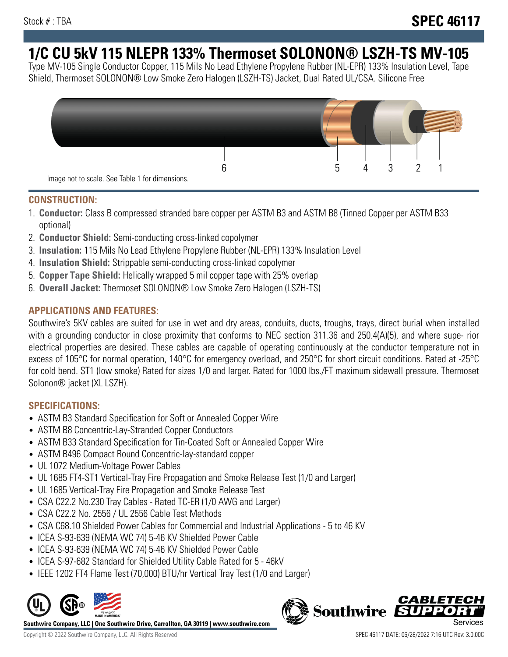# **1/C CU 5kV 115 NLEPR 133% Thermoset SOLONON® LSZH-TS MV-105**

Type MV-105 Single Conductor Copper, 115 Mils No Lead Ethylene Propylene Rubber (NL-EPR) 133% Insulation Level, Tape Shield, Thermoset SOLONON® Low Smoke Zero Halogen (LSZH-TS) Jacket, Dual Rated UL/CSA. Silicone Free



#### **CONSTRUCTION:**

- 1. **Conductor:** Class B compressed stranded bare copper per ASTM B3 and ASTM B8 (Tinned Copper per ASTM B33 optional)
- 2. **Conductor Shield:** Semi-conducting cross-linked copolymer
- 3. **Insulation:** 115 Mils No Lead Ethylene Propylene Rubber (NL-EPR) 133% Insulation Level
- 4. **Insulation Shield:** Strippable semi-conducting cross-linked copolymer
- 5. **Copper Tape Shield:** Helically wrapped 5 mil copper tape with 25% overlap
- 6. **Overall Jacket:** Thermoset SOLONON® Low Smoke Zero Halogen (LSZH-TS)

# **APPLICATIONS AND FEATURES:**

Southwire's 5KV cables are suited for use in wet and dry areas, conduits, ducts, troughs, trays, direct burial when installed with a grounding conductor in close proximity that conforms to NEC section 311.36 and 250.4(A)(5), and where supe- rior electrical properties are desired. These cables are capable of operating continuously at the conductor temperature not in excess of 105°C for normal operation, 140°C for emergency overload, and 250°C for short circuit conditions. Rated at -25°C for cold bend. ST1 (low smoke) Rated for sizes 1/0 and larger. Rated for 1000 lbs./FT maximum sidewall pressure. Thermoset Solonon® jacket (XL LSZH).

# **SPECIFICATIONS:**

- ASTM B3 Standard Specification for Soft or Annealed Copper Wire
- ASTM B8 Concentric-Lay-Stranded Copper Conductors
- ASTM B33 Standard Specification for Tin-Coated Soft or Annealed Copper Wire
- ASTM B496 Compact Round Concentric-lay-standard copper
- UL 1072 Medium-Voltage Power Cables
- UL 1685 FT4-ST1 Vertical-Tray Fire Propagation and Smoke Release Test (1/0 and Larger)
- UL 1685 Vertical-Tray Fire Propagation and Smoke Release Test
- CSA C22.2 No.230 Tray Cables Rated TC-ER (1/0 AWG and Larger)
- CSA C22.2 No. 2556 / UL 2556 Cable Test Methods
- CSA C68.10 Shielded Power Cables for Commercial and Industrial Applications 5 to 46 KV
- ICEA S-93-639 (NEMA WC 74) 5-46 KV Shielded Power Cable
- ICEA S-93-639 (NEMA WC 74) 5-46 KV Shielded Power Cable
- ICEA S-97-682 Standard for Shielded Utility Cable Rated for 5 46kV
- IEEE 1202 FT4 Flame Test (70,000) BTU/hr Vertical Tray Test (1/0 and Larger)



**Southwire Company, LLC | One Southwire Drive, Carrollton, GA 30119 | www.southwire.com**